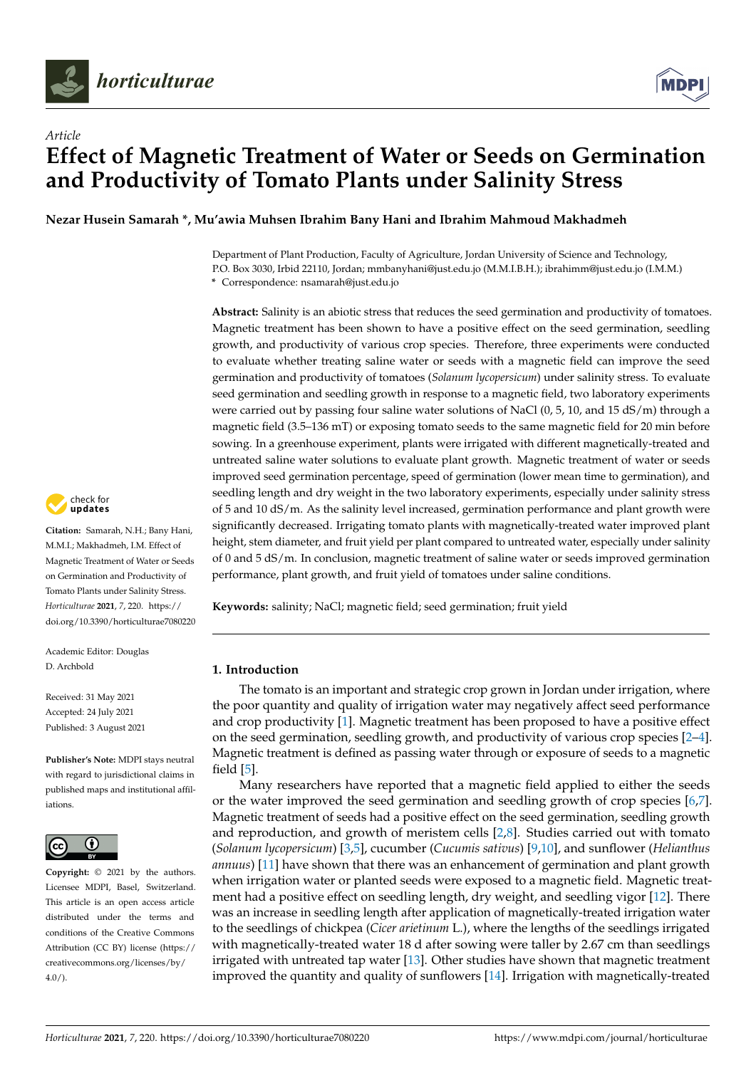



# *Article* **Effect of Magnetic Treatment of Water or Seeds on Germination and Productivity of Tomato Plants under Salinity Stress**

**Nezar Husein Samarah \*, Mu'awia Muhsen Ibrahim Bany Hani and Ibrahim Mahmoud Makhadmeh**

Department of Plant Production, Faculty of Agriculture, Jordan University of Science and Technology, P.O. Box 3030, Irbid 22110, Jordan; mmbanyhani@just.edu.jo (M.M.I.B.H.); ibrahimm@just.edu.jo (I.M.M.) **\*** Correspondence: nsamarah@just.edu.jo

**Abstract:** Salinity is an abiotic stress that reduces the seed germination and productivity of tomatoes. Magnetic treatment has been shown to have a positive effect on the seed germination, seedling growth, and productivity of various crop species. Therefore, three experiments were conducted to evaluate whether treating saline water or seeds with a magnetic field can improve the seed germination and productivity of tomatoes (*Solanum lycopersicum*) under salinity stress. To evaluate seed germination and seedling growth in response to a magnetic field, two laboratory experiments were carried out by passing four saline water solutions of NaCl (0, 5, 10, and 15 dS/m) through a magnetic field (3.5–136 mT) or exposing tomato seeds to the same magnetic field for 20 min before sowing. In a greenhouse experiment, plants were irrigated with different magnetically-treated and untreated saline water solutions to evaluate plant growth. Magnetic treatment of water or seeds improved seed germination percentage, speed of germination (lower mean time to germination), and seedling length and dry weight in the two laboratory experiments, especially under salinity stress of 5 and 10 dS/m. As the salinity level increased, germination performance and plant growth were significantly decreased. Irrigating tomato plants with magnetically-treated water improved plant height, stem diameter, and fruit yield per plant compared to untreated water, especially under salinity of 0 and 5 dS/m. In conclusion, magnetic treatment of saline water or seeds improved germination performance, plant growth, and fruit yield of tomatoes under saline conditions.

**Keywords:** salinity; NaCl; magnetic field; seed germination; fruit yield

# **1. Introduction**

The tomato is an important and strategic crop grown in Jordan under irrigation, where the poor quantity and quality of irrigation water may negatively affect seed performance and crop productivity [\[1\]](#page-9-0). Magnetic treatment has been proposed to have a positive effect on the seed germination, seedling growth, and productivity of various crop species [\[2](#page-9-1)[–4\]](#page-9-2). Magnetic treatment is defined as passing water through or exposure of seeds to a magnetic field [\[5\]](#page-9-3).

Many researchers have reported that a magnetic field applied to either the seeds or the water improved the seed germination and seedling growth of crop species [\[6,](#page-9-4)[7\]](#page-9-5). Magnetic treatment of seeds had a positive effect on the seed germination, seedling growth and reproduction, and growth of meristem cells [\[2,](#page-9-1)[8\]](#page-9-6). Studies carried out with tomato (*Solanum lycopersicum*) [\[3,](#page-9-7)[5\]](#page-9-3), cucumber (*Cucumis sativus*) [\[9,](#page-9-8)[10\]](#page-9-9), and sunflower (*Helianthus annuus*) [\[11\]](#page-9-10) have shown that there was an enhancement of germination and plant growth when irrigation water or planted seeds were exposed to a magnetic field. Magnetic treatment had a positive effect on seedling length, dry weight, and seedling vigor [\[12\]](#page-9-11). There was an increase in seedling length after application of magnetically-treated irrigation water to the seedlings of chickpea (*Cicer arietinum* L.), where the lengths of the seedlings irrigated with magnetically-treated water 18 d after sowing were taller by 2.67 cm than seedlings irrigated with untreated tap water [\[13\]](#page-9-12). Other studies have shown that magnetic treatment improved the quantity and quality of sunflowers [\[14\]](#page-9-13). Irrigation with magnetically-treated



**Citation:** Samarah, N.H.; Bany Hani, M.M.I.; Makhadmeh, I.M. Effect of Magnetic Treatment of Water or Seeds on Germination and Productivity of Tomato Plants under Salinity Stress. *Horticulturae* **2021**, *7*, 220. [https://](https://doi.org/10.3390/horticulturae7080220) [doi.org/10.3390/horticulturae7080220](https://doi.org/10.3390/horticulturae7080220)

Academic Editor: Douglas D. Archbold

Received: 31 May 2021 Accepted: 24 July 2021 Published: 3 August 2021

**Publisher's Note:** MDPI stays neutral with regard to jurisdictional claims in published maps and institutional affiliations.



**Copyright:** © 2021 by the authors. Licensee MDPI, Basel, Switzerland. This article is an open access article distributed under the terms and conditions of the Creative Commons Attribution (CC BY) license (https:/[/](https://creativecommons.org/licenses/by/4.0/) [creativecommons.org/licenses/by/](https://creativecommons.org/licenses/by/4.0/)  $4.0/$ ).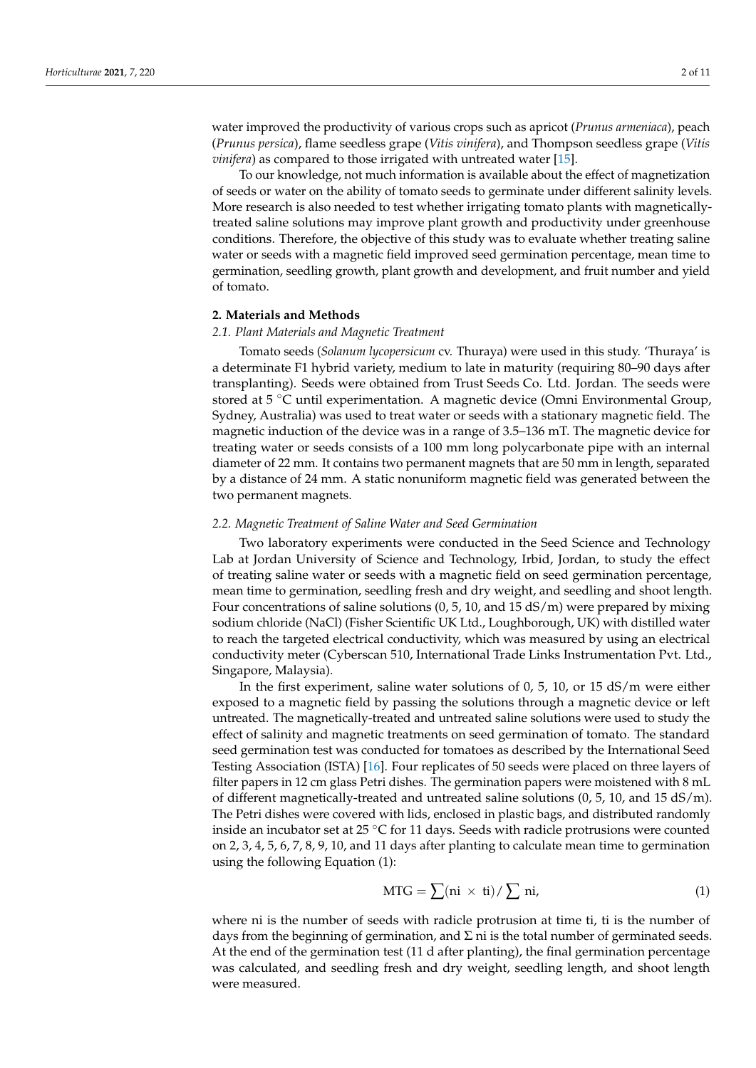water improved the productivity of various crops such as apricot (*Prunus armeniaca*), peach (*Prunus persica*), flame seedless grape (*Vitis vinifera*), and Thompson seedless grape (*Vitis vinifera*) as compared to those irrigated with untreated water [\[15\]](#page-9-14).

To our knowledge, not much information is available about the effect of magnetization of seeds or water on the ability of tomato seeds to germinate under different salinity levels. More research is also needed to test whether irrigating tomato plants with magneticallytreated saline solutions may improve plant growth and productivity under greenhouse conditions. Therefore, the objective of this study was to evaluate whether treating saline water or seeds with a magnetic field improved seed germination percentage, mean time to germination, seedling growth, plant growth and development, and fruit number and yield of tomato.

# **2. Materials and Methods**

## *2.1. Plant Materials and Magnetic Treatment*

Tomato seeds (*Solanum lycopersicum* cv. Thuraya) were used in this study. 'Thuraya' is a determinate F1 hybrid variety, medium to late in maturity (requiring 80–90 days after transplanting). Seeds were obtained from Trust Seeds Co. Ltd. Jordan. The seeds were stored at 5 ◦C until experimentation. A magnetic device (Omni Environmental Group, Sydney, Australia) was used to treat water or seeds with a stationary magnetic field. The magnetic induction of the device was in a range of 3.5–136 mT. The magnetic device for treating water or seeds consists of a 100 mm long polycarbonate pipe with an internal diameter of 22 mm. It contains two permanent magnets that are 50 mm in length, separated by a distance of 24 mm. A static nonuniform magnetic field was generated between the two permanent magnets.

## *2.2. Magnetic Treatment of Saline Water and Seed Germination*

Two laboratory experiments were conducted in the Seed Science and Technology Lab at Jordan University of Science and Technology, Irbid, Jordan, to study the effect of treating saline water or seeds with a magnetic field on seed germination percentage, mean time to germination, seedling fresh and dry weight, and seedling and shoot length. Four concentrations of saline solutions (0, 5, 10, and 15 dS/m) were prepared by mixing sodium chloride (NaCl) (Fisher Scientific UK Ltd., Loughborough, UK) with distilled water to reach the targeted electrical conductivity, which was measured by using an electrical conductivity meter (Cyberscan 510, International Trade Links Instrumentation Pvt. Ltd., Singapore, Malaysia).

In the first experiment, saline water solutions of 0, 5, 10, or 15 dS/m were either exposed to a magnetic field by passing the solutions through a magnetic device or left untreated. The magnetically-treated and untreated saline solutions were used to study the effect of salinity and magnetic treatments on seed germination of tomato. The standard seed germination test was conducted for tomatoes as described by the International Seed Testing Association (ISTA) [\[16\]](#page-9-15). Four replicates of 50 seeds were placed on three layers of filter papers in 12 cm glass Petri dishes. The germination papers were moistened with 8 mL of different magnetically-treated and untreated saline solutions (0, 5, 10, and 15 dS/m). The Petri dishes were covered with lids, enclosed in plastic bags, and distributed randomly inside an incubator set at 25 ◦C for 11 days. Seeds with radicle protrusions were counted on 2, 3, 4, 5, 6, 7, 8, 9, 10, and 11 days after planting to calculate mean time to germination using the following Equation (1):

$$
MTG = \sum (ni \times ti) / \sum ni,
$$
 (1)

where ni is the number of seeds with radicle protrusion at time ti, ti is the number of days from the beginning of germination, and  $\Sigma$  ni is the total number of germinated seeds. At the end of the germination test (11 d after planting), the final germination percentage was calculated, and seedling fresh and dry weight, seedling length, and shoot length were measured.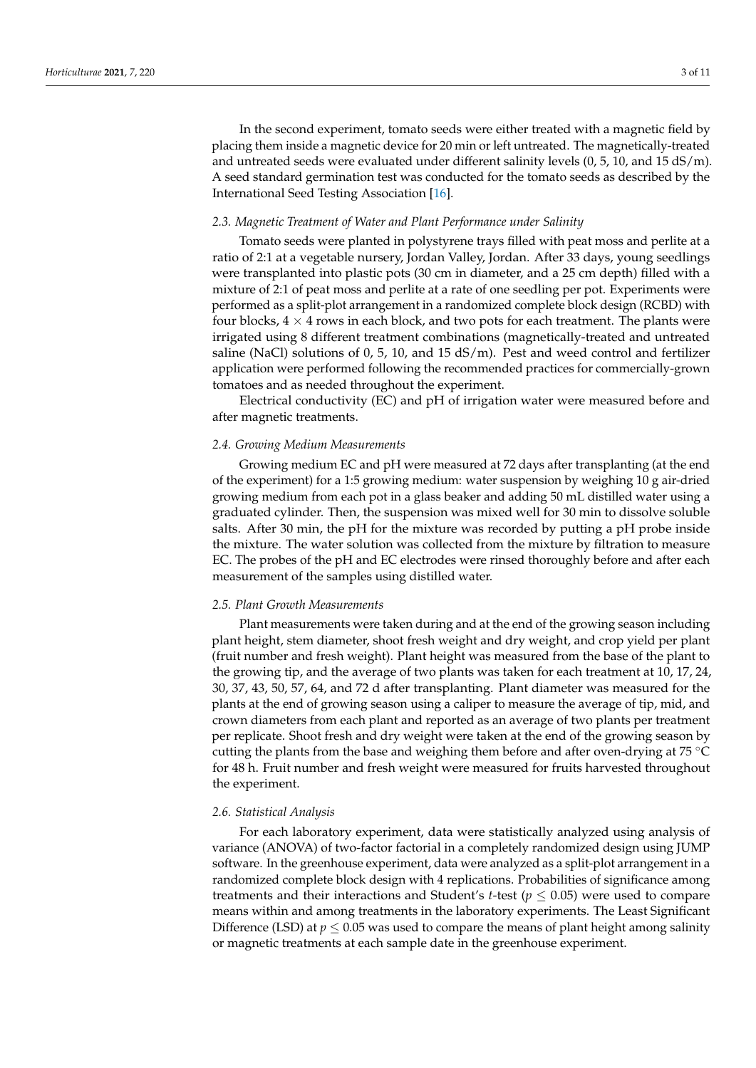In the second experiment, tomato seeds were either treated with a magnetic field by placing them inside a magnetic device for 20 min or left untreated. The magnetically-treated and untreated seeds were evaluated under different salinity levels (0, 5, 10, and 15 dS/m). A seed standard germination test was conducted for the tomato seeds as described by the International Seed Testing Association [\[16\]](#page-9-15).

# *2.3. Magnetic Treatment of Water and Plant Performance under Salinity*

Tomato seeds were planted in polystyrene trays filled with peat moss and perlite at a ratio of 2:1 at a vegetable nursery, Jordan Valley, Jordan. After 33 days, young seedlings were transplanted into plastic pots (30 cm in diameter, and a 25 cm depth) filled with a mixture of 2:1 of peat moss and perlite at a rate of one seedling per pot. Experiments were performed as a split-plot arrangement in a randomized complete block design (RCBD) with four blocks,  $4 \times 4$  rows in each block, and two pots for each treatment. The plants were irrigated using 8 different treatment combinations (magnetically-treated and untreated saline (NaCl) solutions of 0, 5, 10, and 15  $dS/m$ ). Pest and weed control and fertilizer application were performed following the recommended practices for commercially-grown tomatoes and as needed throughout the experiment.

Electrical conductivity (EC) and pH of irrigation water were measured before and after magnetic treatments.

#### *2.4. Growing Medium Measurements*

Growing medium EC and pH were measured at 72 days after transplanting (at the end of the experiment) for a 1:5 growing medium: water suspension by weighing 10 g air-dried growing medium from each pot in a glass beaker and adding 50 mL distilled water using a graduated cylinder. Then, the suspension was mixed well for 30 min to dissolve soluble salts. After 30 min, the pH for the mixture was recorded by putting a pH probe inside the mixture. The water solution was collected from the mixture by filtration to measure EC. The probes of the pH and EC electrodes were rinsed thoroughly before and after each measurement of the samples using distilled water.

## *2.5. Plant Growth Measurements*

Plant measurements were taken during and at the end of the growing season including plant height, stem diameter, shoot fresh weight and dry weight, and crop yield per plant (fruit number and fresh weight). Plant height was measured from the base of the plant to the growing tip, and the average of two plants was taken for each treatment at 10, 17, 24, 30, 37, 43, 50, 57, 64, and 72 d after transplanting. Plant diameter was measured for the plants at the end of growing season using a caliper to measure the average of tip, mid, and crown diameters from each plant and reported as an average of two plants per treatment per replicate. Shoot fresh and dry weight were taken at the end of the growing season by cutting the plants from the base and weighing them before and after oven-drying at 75 ◦C for 48 h. Fruit number and fresh weight were measured for fruits harvested throughout the experiment.

# *2.6. Statistical Analysis*

For each laboratory experiment, data were statistically analyzed using analysis of variance (ANOVA) of two-factor factorial in a completely randomized design using JUMP software. In the greenhouse experiment, data were analyzed as a split-plot arrangement in a randomized complete block design with 4 replications. Probabilities of significance among treatments and their interactions and Student's *t*-test ( $p \le 0.05$ ) were used to compare means within and among treatments in the laboratory experiments. The Least Significant Difference (LSD) at  $p \leq 0.05$  was used to compare the means of plant height among salinity or magnetic treatments at each sample date in the greenhouse experiment.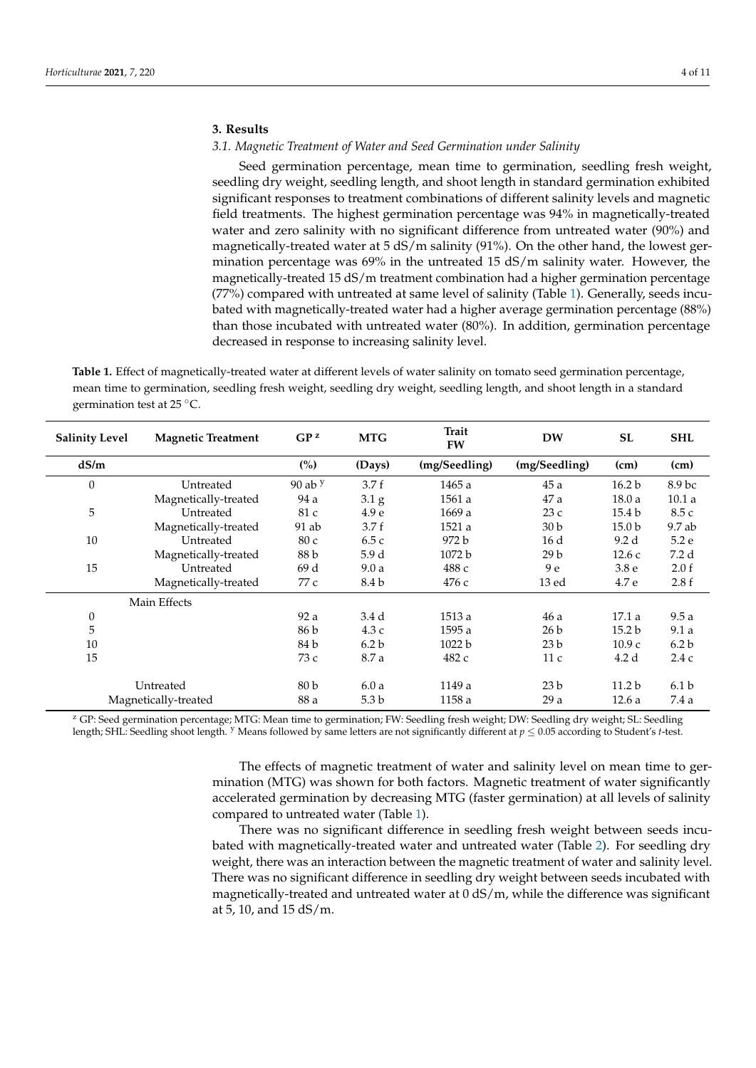# **3. Results**

## *3.1. Magnetic Treatment of Water and Seed Germination under Salinity*

Seed germination percentage, mean time to germination, seedling fresh weight, seedling dry weight, seedling length, and shoot length in standard germination exhibited significant responses to treatment combinations of different salinity levels and magnetic field treatments. The highest germination percentage was 94% in magnetically-treated water and zero salinity with no significant difference from untreated water (90%) and magnetically-treated water at 5 dS/m salinity (91%). On the other hand, the lowest germination percentage was 69% in the untreated 15 dS/m salinity water. However, the magnetically-treated 15 dS/m treatment combination had a higher germination percentage (77%) compared with untreated at same level of salinity (Table [1\)](#page-3-0). Generally, seeds incubated with magnetically-treated water had a higher average germination percentage (88%) than those incubated with untreated water (80%). In addition, germination percentage decreased in response to increasing salinity level.

<span id="page-3-0"></span>**Table 1.** Effect of magnetically-treated water at different levels of water salinity on tomato seed germination percentage, mean time to germination, seedling fresh weight, seedling dry weight, seedling length, and shoot length in a standard germination test at 25 ◦C.

| <b>Salinity Level</b> | <b>Magnetic Treatment</b> | GP <sup>z</sup> | <b>MTG</b>       | Trait<br><b>FW</b> | <b>DW</b>       | <b>SL</b>         | <b>SHL</b>        |
|-----------------------|---------------------------|-----------------|------------------|--------------------|-----------------|-------------------|-------------------|
| dS/m                  |                           | (%)             | (Days)           | (mg/Seedling)      | (mg/Seedling)   | (cm)              | (cm)              |
| $\theta$              | Untreated                 | 90 ab $y$       | 3.7f             | 1465 a             | 45a             | 16.2 <sub>b</sub> | 8.9 <sub>bc</sub> |
|                       | Magnetically-treated      | 94 a            | 3.1 <sub>g</sub> | 1561 a             | 47 a            | 18.0a             | 10.1a             |
| 5                     | Untreated                 | 81 c            | 4.9e             | 1669 a             | 23c             | 15.4 <sub>b</sub> | 8.5 c             |
|                       | Magnetically-treated      | 91 ab           | 3.7f             | 1521 a             | 30 <sub>b</sub> | 15.0 <sub>b</sub> | 9.7ab             |
| 10                    | Untreated                 | 80c             | 6.5c             | 972 b              | 16 d            | 9.2d              | 5.2e              |
|                       | Magnetically-treated      | 88 b            | 5.9 d            | 1072 <sub>b</sub>  | 29 <sub>b</sub> | 12.6c             | 7.2 d             |
| 15                    | Untreated                 | 69 d            | 9.0a             | 488 c              | 9e              | 3.8 <sub>e</sub>  | 2.0 f             |
|                       | Magnetically-treated      | 77 c            | 8.4 b            | 476 с              | 13 ed           | 4.7 e             | 2.8f              |
|                       | Main Effects              |                 |                  |                    |                 |                   |                   |
| $\boldsymbol{0}$      |                           | 92 a            | 3.4 d            | 1513a              | 46 a            | 17.1a             | 9.5a              |
| 5                     |                           | 86 b            | 4.3c             | 1595a              | 26 <sub>b</sub> | 15.2 <sub>b</sub> | 9.1a              |
| 10                    |                           | 84 b            | 6.2 <sub>b</sub> | 1022 b             | 23 <sub>b</sub> | 10.9c             | 6.2 <sub>b</sub>  |
| 15                    |                           | 73 c            | 8.7 a            | 482 c              | 11c             | 4.2 d             | 2.4c              |
|                       | Untreated                 | 80 <sub>b</sub> | 6.0a             | 1149 a             | 23 <sub>b</sub> | 11.2 <sub>b</sub> | 6.1 <sub>b</sub>  |
| Magnetically-treated  |                           | 88 a            | 5.3 b            | 1158 a             | 29a             | 12.6a             | 7.4 a             |

<sup>z</sup> GP: Seed germination percentage; MTG: Mean time to germination; FW: Seedling fresh weight; DW: Seedling dry weight; SL: Seedling length; SHL: Seedling shoot length. <sup>y</sup> Means followed by same letters are not significantly different at *p* ≤ 0.05 according to Student's *t*-test.

> The effects of magnetic treatment of water and salinity level on mean time to germination (MTG) was shown for both factors. Magnetic treatment of water significantly accelerated germination by decreasing MTG (faster germination) at all levels of salinity compared to untreated water (Table [1\)](#page-3-0).

> There was no significant difference in seedling fresh weight between seeds incubated with magnetically-treated water and untreated water (Table [2\)](#page-4-0). For seedling dry weight, there was an interaction between the magnetic treatment of water and salinity level. There was no significant difference in seedling dry weight between seeds incubated with magnetically-treated and untreated water at 0 dS/m, while the difference was significant at 5, 10, and 15 dS/m.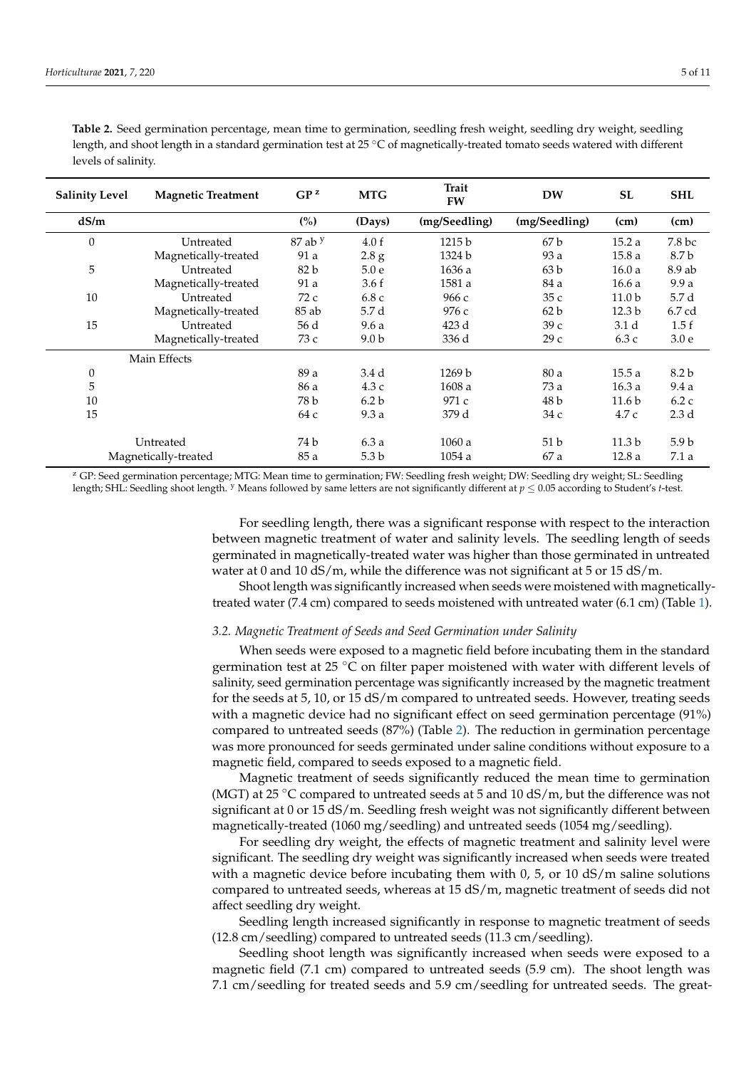| <b>Salinity Level</b> | <b>Magnetic Treatment</b> | $GP^z$      | <b>MTG</b>       | <b>Trait</b><br><b>FW</b> | <b>DW</b>       | <b>SL</b>         | <b>SHL</b>       |
|-----------------------|---------------------------|-------------|------------------|---------------------------|-----------------|-------------------|------------------|
| dS/m                  |                           | (%)         | (Days)           | (mg/Seedling)             | (mg/Seedling)   | (cm)              | (cm)             |
| $\boldsymbol{0}$      | Untreated                 | $87$ ab $y$ | 4.0 f            | 1215 b                    | 67b             | 15.2a             | 7.8 bc           |
|                       | Magnetically-treated      | 91 a        | 2.8 g            | 1324 b                    | 93 a            | 15.8a             | 8.7 b            |
| 5                     | Untreated                 | 82 b        | 5.0e             | 1636 a                    | 63 <sub>b</sub> | 16.0a             | $8.9$ ab         |
|                       | Magnetically-treated      | 91 a        | 3.6 f            | 1581 a                    | 84 a            | 16.6a             | 9.9a             |
| 10                    | Untreated                 | 72c         | 6.8c             | 966 с                     | 35c             | 11.0 <sub>b</sub> | 5.7 d            |
|                       | Magnetically-treated      | 85 ab       | 5.7 d            | 976 с                     | 62 b            | 12.3 <sub>b</sub> | 6.7 cd           |
| 15                    | Untreated                 | 56 d        | 9.6a             | 423 d                     | 39c             | 3.1 <sub>d</sub>  | 1.5f             |
|                       | Magnetically-treated      | 73 c        | 9.0 <sub>b</sub> | 336 d                     | 29c             | 6.3c              | 3.0 <sub>e</sub> |
|                       | Main Effects              |             |                  |                           |                 |                   |                  |
| $\boldsymbol{0}$      |                           | 89 a        | 3.4 d            | 1269 b                    | 80 a            | 15.5a             | 8.2 b            |
| 5                     |                           | 86 a        | 4.3c             | 1608 a                    | 73 a            | 16.3a             | 9.4a             |
| 10                    |                           | 78 b        | 6.2 <sub>b</sub> | 971 c                     | 48 b            | 11.6 <sub>b</sub> | 6.2c             |
| 15                    |                           | 64 c        | 9.3a             | 379 d                     | 34 с            | 4.7 c             | 2.3 <sub>d</sub> |
|                       | Untreated                 | 74 b        | 6.3a             | 1060a                     | 51 <sub>b</sub> | 11.3 <sub>b</sub> | 5.9 <sub>b</sub> |
| Magnetically-treated  |                           | 85 a        | 5.3 <sub>b</sub> | 1054a                     | 67 a            | 12.8a             | 7.1a             |

<span id="page-4-0"></span>**Table 2.** Seed germination percentage, mean time to germination, seedling fresh weight, seedling dry weight, seedling length, and shoot length in a standard germination test at 25 ◦C of magnetically-treated tomato seeds watered with different levels of salinity.

<sup>z</sup> GP: Seed germination percentage; MTG: Mean time to germination; FW: Seedling fresh weight; DW: Seedling dry weight; SL: Seedling length; SHL: Seedling shoot length. <sup>y</sup> Means followed by same letters are not significantly different at *p* ≤ 0.05 according to Student's *t*-test.

> For seedling length, there was a significant response with respect to the interaction between magnetic treatment of water and salinity levels. The seedling length of seeds germinated in magnetically-treated water was higher than those germinated in untreated water at 0 and 10  $dS/m$ , while the difference was not significant at 5 or 15  $dS/m$ .

> Shoot length was significantly increased when seeds were moistened with magneticallytreated water (7.4 cm) compared to seeds moistened with untreated water (6.1 cm) (Table [1\)](#page-3-0).

## *3.2. Magnetic Treatment of Seeds and Seed Germination under Salinity*

When seeds were exposed to a magnetic field before incubating them in the standard germination test at 25 ℃ on filter paper moistened with water with different levels of salinity, seed germination percentage was significantly increased by the magnetic treatment for the seeds at 5, 10, or 15 dS/m compared to untreated seeds. However, treating seeds with a magnetic device had no significant effect on seed germination percentage (91%) compared to untreated seeds (87%) (Table [2\)](#page-4-0). The reduction in germination percentage was more pronounced for seeds germinated under saline conditions without exposure to a magnetic field, compared to seeds exposed to a magnetic field.

Magnetic treatment of seeds significantly reduced the mean time to germination (MGT) at 25 °C compared to untreated seeds at 5 and 10 dS/m, but the difference was not significant at 0 or 15 dS/m. Seedling fresh weight was not significantly different between magnetically-treated (1060 mg/seedling) and untreated seeds (1054 mg/seedling).

For seedling dry weight, the effects of magnetic treatment and salinity level were significant. The seedling dry weight was significantly increased when seeds were treated with a magnetic device before incubating them with  $0, 5$ , or  $10 \text{ dS/m}$  saline solutions compared to untreated seeds, whereas at 15 dS/m, magnetic treatment of seeds did not affect seedling dry weight.

Seedling length increased significantly in response to magnetic treatment of seeds (12.8 cm/seedling) compared to untreated seeds (11.3 cm/seedling).

Seedling shoot length was significantly increased when seeds were exposed to a magnetic field (7.1 cm) compared to untreated seeds (5.9 cm). The shoot length was 7.1 cm/seedling for treated seeds and 5.9 cm/seedling for untreated seeds. The great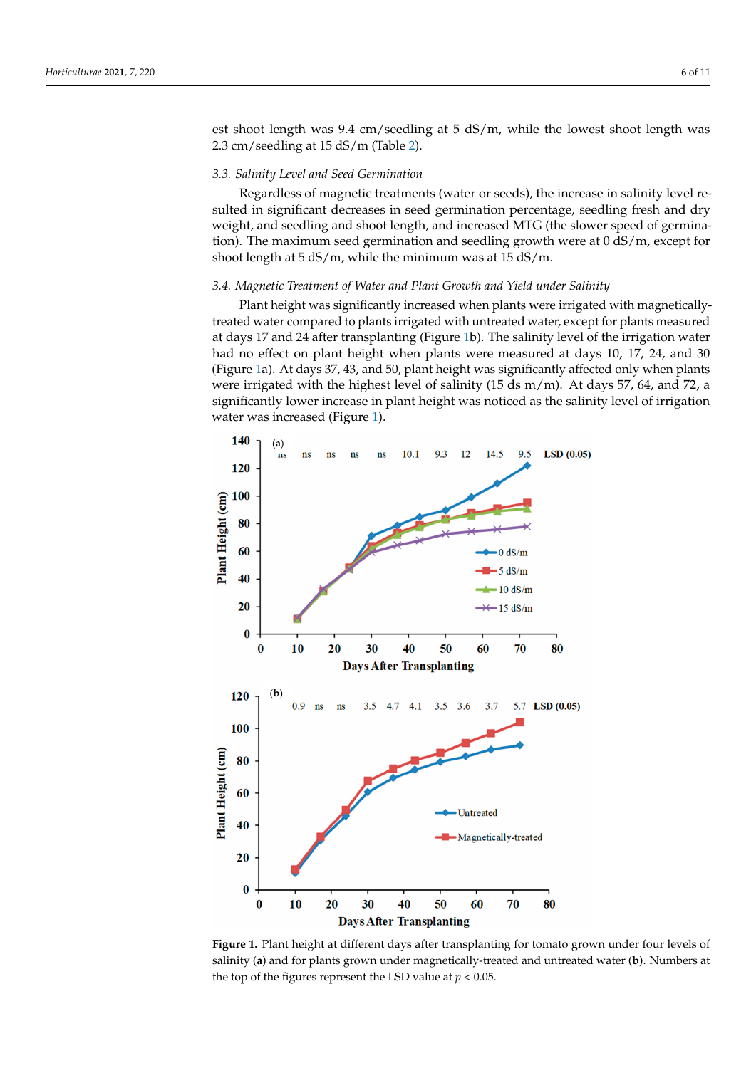est shoot length was 9.4 cm/seedling at 5 dS/m, while the lowest shoot length was 2.3 cm/seedling at 15 dS/m (Table [2\)](#page-4-0).

## *3.3. Salinity Level and Seed Germination*

Regardless of magnetic treatments (water or seeds), the increase in salinity level resulted in significant decreases in seed germination percentage, seedling fresh and dry weight, and seedling and shoot length, and increased MTG (the slower speed of germination). The maximum seed germination and seedling growth were at 0 dS/m, except for shoot length at 5 dS/m, while the minimum was at 15 dS/m.

#### *3.4. Magnetic Treatment of Water and Plant Growth and Yield under Salinity*

Plant height was significantly increased when plants were irrigated with magneticallytreated water compared to plants irrigated with untreated water, except for plants measured at days 17 and 24 after transplanting (Figure [1b](#page-5-0)). The salinity level of the irrigation water had no effect on plant height when plants were measured at days 10, 17, 24, and 30 (Figure [1a](#page-5-0)). At days 37, 43, and 50, plant height was significantly affected only when plants were irrigated with the highest level of salinity (15 ds  $m/m$ ). At days 57, 64, and 72, a significantly lower increase in plant height was noticed as the salinity level of irrigation water was increased (Figure [1\)](#page-5-0).

<span id="page-5-0"></span>

**Figure 1.** Plant height at different days after transplanting for tomato grown under four levels of **Figure 1.** Plant height at different days after transplanting for tomato grown under four levels of salinity (**a**) and for plants grown under magnetically-treated and untreated water (**b**). Numbers at salinity (**a**) and for plants grown under magnetically-treated and untreated water (**b**). Numbers at the top of the figures represent the LSD value at  $p < 0.05$ .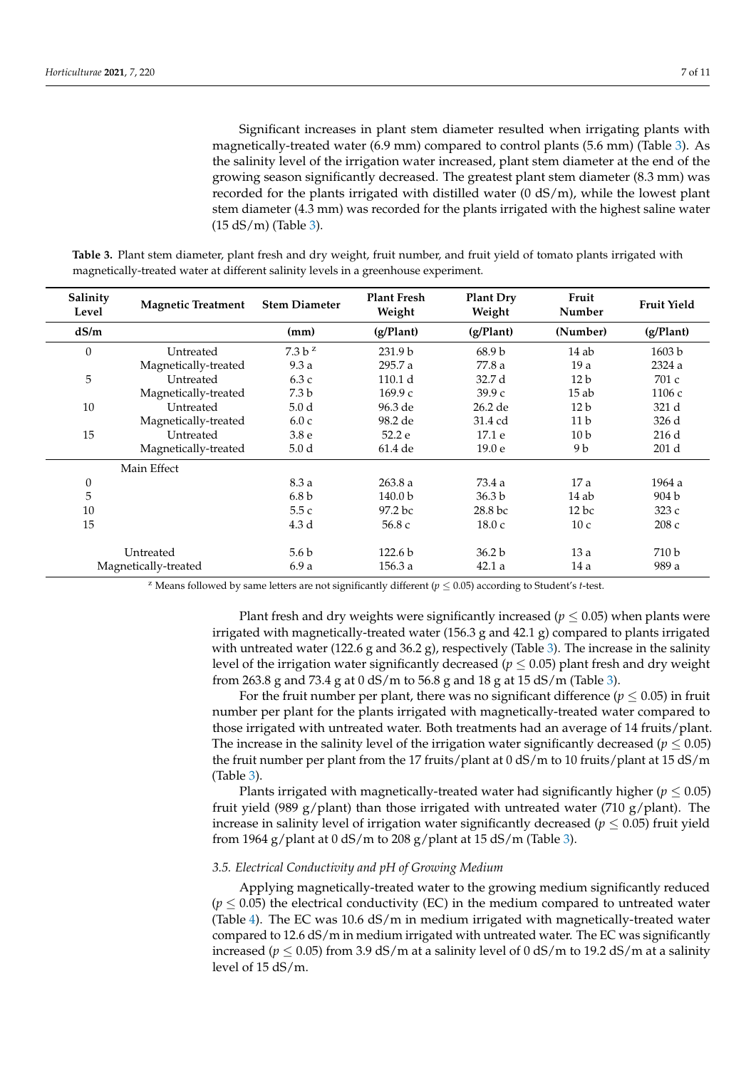Significant increases in plant stem diameter resulted when irrigating plants with magnetically-treated water (6.9 mm) compared to control plants (5.6 mm) (Table [3\)](#page-6-0). As the salinity level of the irrigation water increased, plant stem diameter at the end of the growing season significantly decreased. The greatest plant stem diameter (8.3 mm) was recorded for the plants irrigated with distilled water (0 dS/m), while the lowest plant stem diameter (4.3 mm) was recorded for the plants irrigated with the highest saline water (15 dS/m) (Table [3\)](#page-6-0).

| Salinity<br>Level    | <b>Magnetic Treatment</b> | <b>Stem Diameter</b> | <b>Plant Fresh</b><br>Weight | <b>Plant Dry</b><br>Weight | Fruit<br>Number | <b>Fruit Yield</b> |
|----------------------|---------------------------|----------------------|------------------------------|----------------------------|-----------------|--------------------|
| dS/m                 |                           | (mm)                 | (g/Plant)                    | (g/Plant)                  | (Number)        | (g/Plant)          |
| $\mathbf{0}$         | Untreated                 | 7.3 b <sup>z</sup>   | 231.9 <sub>b</sub>           | 68.9 <sub>b</sub>          | 14ab            | 1603 b             |
|                      | Magnetically-treated      | 9.3a                 | 295.7 a                      | 77.8 a                     | 19a             | 2324 a             |
| 5                    | Untreated                 | 6.3c                 | 110.1 d                      | 32.7 d                     | 12 <sub>b</sub> | 701 c              |
|                      | Magnetically-treated      | 7.3 <sub>b</sub>     | 169.9c                       | 39.9c                      | 15ab            | 1106 с             |
| 10                   | Untreated                 | 5.0 <sub>d</sub>     | 96.3 de                      | 26.2 de                    | 12 <sub>b</sub> | 321 d              |
|                      | Magnetically-treated      | 6.0c                 | 98.2 de                      | 31.4 cd                    | 11 <sub>b</sub> | 326 d              |
| 15                   | Untreated                 | 3.8 <sub>e</sub>     | 52.2 e                       | 17.1 e                     | 10 <sub>b</sub> | 216d               |
|                      | Magnetically-treated      | 5.0 <sub>d</sub>     | 61.4 de                      | 19.0 <sub>e</sub>          | 9 b             | 201 d              |
|                      | Main Effect               |                      |                              |                            |                 |                    |
| $\boldsymbol{0}$     |                           | 8.3 a                | 263.8a                       | 73.4 a                     | 17a             | 1964 a             |
| 5                    |                           | 6.8 <sub>b</sub>     | 140.0 <sub>b</sub>           | 36.3 <sub>b</sub>          | 14ab            | 904 b              |
| 10                   |                           | 5.5c                 | 97.2 <sub>bc</sub>           | 28.8 bc                    | $12$ bc         | 323c               |
| 15                   |                           | 4.3 d                | 56.8 c                       | 18.0c                      | 10 <sub>c</sub> | 208c               |
|                      | Untreated                 | 5.6 b                | 122.6 <sub>b</sub>           | 36.2 <sub>b</sub>          | 13a             | 710 b              |
| Magnetically-treated |                           | 6.9a                 | 156.3a                       | 42.1a                      | 14a             | 989 a              |

<span id="page-6-0"></span>**Table 3.** Plant stem diameter, plant fresh and dry weight, fruit number, and fruit yield of tomato plants irrigated with magnetically-treated water at different salinity levels in a greenhouse experiment.

<sup>z</sup> Means followed by same letters are not significantly different ( $p \le 0.05$ ) according to Student's *t*-test.

Plant fresh and dry weights were significantly increased ( $p \leq 0.05$ ) when plants were irrigated with magnetically-treated water  $(156.3 \text{ g and } 42.1 \text{ g})$  compared to plants irrigated with untreated water (122.6 g and 36.2 g), respectively (Table [3\)](#page-6-0). The increase in the salinity level of the irrigation water significantly decreased ( $p \leq 0.05$ ) plant fresh and dry weight from 263.8 g and 73.4 g at 0 dS/m to 56.8 g and 18 g at 15 dS/m (Table [3\)](#page-6-0).

For the fruit number per plant, there was no significant difference ( $p \leq 0.05$ ) in fruit number per plant for the plants irrigated with magnetically-treated water compared to those irrigated with untreated water. Both treatments had an average of 14 fruits/plant. The increase in the salinity level of the irrigation water significantly decreased ( $p \leq 0.05$ ) the fruit number per plant from the 17 fruits/plant at 0 dS/m to 10 fruits/plant at 15 dS/m (Table [3\)](#page-6-0).

Plants irrigated with magnetically-treated water had significantly higher ( $p \leq 0.05$ ) fruit yield (989 g/plant) than those irrigated with untreated water (710 g/plant). The increase in salinity level of irrigation water significantly decreased ( $p \leq 0.05$ ) fruit yield from 1964 g/plant at  $0 \text{ dS/m}$  to 208 g/plant at 15 dS/m (Table [3\)](#page-6-0).

## *3.5. Electrical Conductivity and pH of Growing Medium*

Applying magnetically-treated water to the growing medium significantly reduced  $(p \leq 0.05)$  the electrical conductivity (EC) in the medium compared to untreated water (Table [4\)](#page-7-0). The EC was 10.6 dS/m in medium irrigated with magnetically-treated water compared to 12.6 dS/m in medium irrigated with untreated water. The EC was significantly increased ( $p \le 0.05$ ) from 3.9 dS/m at a salinity level of 0 dS/m to 19.2 dS/m at a salinity level of 15 dS/m.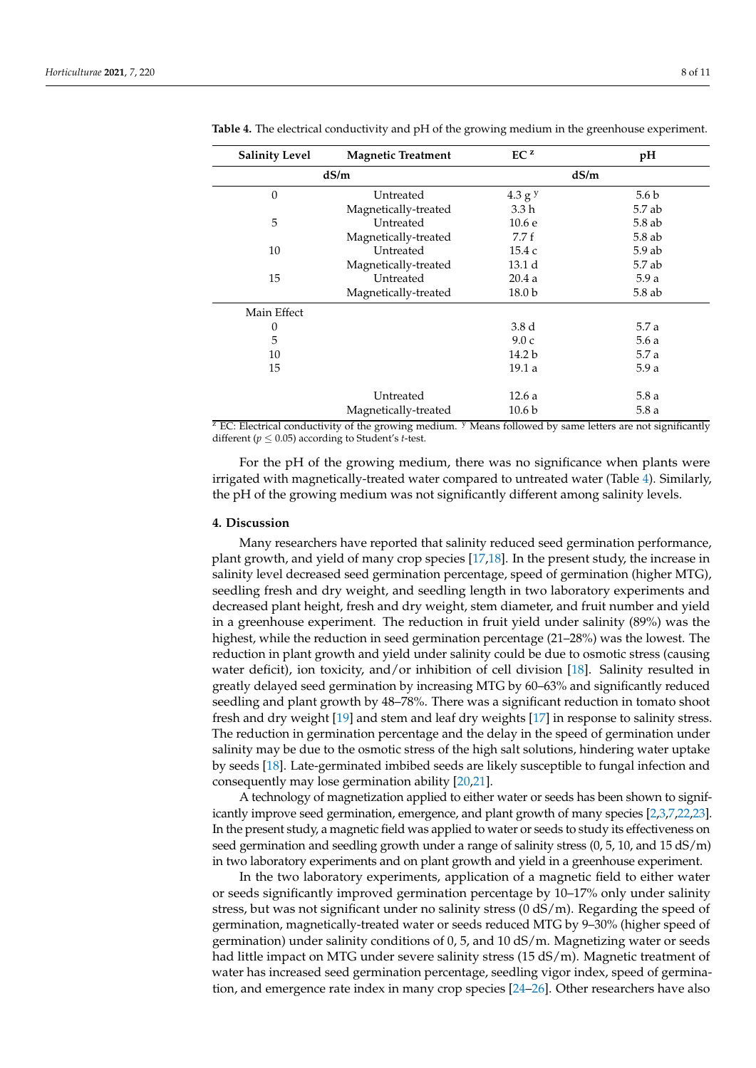| <b>Salinity Level</b> | <b>Magnetic Treatment</b> |                    | pH               |
|-----------------------|---------------------------|--------------------|------------------|
|                       | dS/m                      |                    | dS/m             |
| $\theta$              | Untreated                 | 4.3 g <sup>y</sup> | 5.6 <sub>b</sub> |
|                       | Magnetically-treated      | 3.3 h              | 5.7 ab           |
| 5                     | Untreated                 | 10.6 e             | $5.8$ ab         |
|                       | Magnetically-treated      | 7.7f               | 5.8 ab           |
| 10                    | Untreated                 | 15.4 c             | $5.9$ ab         |
|                       | Magnetically-treated      | 13.1 d             | 5.7 ab           |
| 15                    | Untreated                 | 20.4a              | 5.9a             |
|                       | Magnetically-treated      | 18.0 b             | 5.8 ab           |
| Main Effect           |                           |                    |                  |
| $\boldsymbol{0}$      |                           | 3.8 d              | 5.7 a            |
| 5                     |                           | 9.0c               | 5.6a             |
| 10                    |                           | 14.2 b             | 5.7 a            |
| 15                    |                           | 19.1 a             | 5.9a             |
|                       | Untreated                 | 12.6a              | 5.8a             |
|                       | Magnetically-treated      | 10.6 b             | 5.8a             |

<span id="page-7-0"></span>**Table 4.** The electrical conductivity and pH of the growing medium in the greenhouse experiment.

 $Z$  EC: Electrical conductivity of the growing medium.  $Y$  Means followed by same letters are not significantly different ( $p \leq 0.05$ ) according to Student's *t*-test.

For the pH of the growing medium, there was no significance when plants were irrigated with magnetically-treated water compared to untreated water (Table [4\)](#page-7-0). Similarly, the pH of the growing medium was not significantly different among salinity levels.

## **4. Discussion**

Many researchers have reported that salinity reduced seed germination performance, plant growth, and yield of many crop species [\[17,](#page-9-16)[18\]](#page-9-17). In the present study, the increase in salinity level decreased seed germination percentage, speed of germination (higher MTG), seedling fresh and dry weight, and seedling length in two laboratory experiments and decreased plant height, fresh and dry weight, stem diameter, and fruit number and yield in a greenhouse experiment. The reduction in fruit yield under salinity (89%) was the highest, while the reduction in seed germination percentage (21–28%) was the lowest. The reduction in plant growth and yield under salinity could be due to osmotic stress (causing water deficit), ion toxicity, and/or inhibition of cell division [\[18\]](#page-9-17). Salinity resulted in greatly delayed seed germination by increasing MTG by 60–63% and significantly reduced seedling and plant growth by 48–78%. There was a significant reduction in tomato shoot fresh and dry weight [\[19\]](#page-9-18) and stem and leaf dry weights [\[17\]](#page-9-16) in response to salinity stress. The reduction in germination percentage and the delay in the speed of germination under salinity may be due to the osmotic stress of the high salt solutions, hindering water uptake by seeds [\[18\]](#page-9-17). Late-germinated imbibed seeds are likely susceptible to fungal infection and consequently may lose germination ability [\[20,](#page-9-19)[21\]](#page-9-20).

A technology of magnetization applied to either water or seeds has been shown to significantly improve seed germination, emergence, and plant growth of many species [\[2](#page-9-1)[,3,](#page-9-7)[7](#page-9-5)[,22](#page-9-21)[,23\]](#page-9-22). In the present study, a magnetic field was applied to water or seeds to study its effectiveness on seed germination and seedling growth under a range of salinity stress (0, 5, 10, and 15 dS/m) in two laboratory experiments and on plant growth and yield in a greenhouse experiment.

In the two laboratory experiments, application of a magnetic field to either water or seeds significantly improved germination percentage by 10–17% only under salinity stress, but was not significant under no salinity stress (0 dS/m). Regarding the speed of germination, magnetically-treated water or seeds reduced MTG by 9–30% (higher speed of germination) under salinity conditions of 0, 5, and 10 dS/m. Magnetizing water or seeds had little impact on MTG under severe salinity stress (15 dS/m). Magnetic treatment of water has increased seed germination percentage, seedling vigor index, speed of germination, and emergence rate index in many crop species [\[24–](#page-10-0)[26\]](#page-10-1). Other researchers have also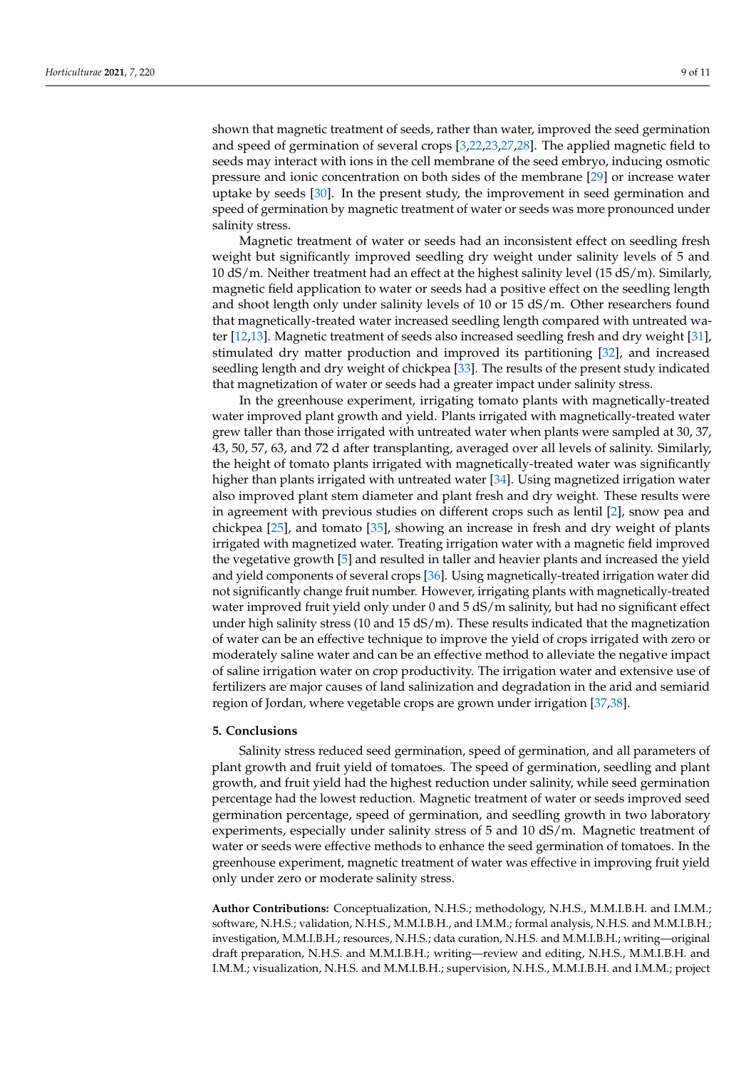shown that magnetic treatment of seeds, rather than water, improved the seed germination and speed of germination of several crops [\[3](#page-9-7)[,22](#page-9-21)[,23](#page-9-22)[,27](#page-10-2)[,28\]](#page-10-3). The applied magnetic field to seeds may interact with ions in the cell membrane of the seed embryo, inducing osmotic pressure and ionic concentration on both sides of the membrane [\[29\]](#page-10-4) or increase water uptake by seeds [\[30\]](#page-10-5). In the present study, the improvement in seed germination and speed of germination by magnetic treatment of water or seeds was more pronounced under salinity stress.

Magnetic treatment of water or seeds had an inconsistent effect on seedling fresh weight but significantly improved seedling dry weight under salinity levels of 5 and 10 dS/m. Neither treatment had an effect at the highest salinity level (15 dS/m). Similarly, magnetic field application to water or seeds had a positive effect on the seedling length and shoot length only under salinity levels of 10 or 15 dS/m. Other researchers found that magnetically-treated water increased seedling length compared with untreated water [\[12](#page-9-11)[,13\]](#page-9-12). Magnetic treatment of seeds also increased seedling fresh and dry weight [\[31\]](#page-10-6), stimulated dry matter production and improved its partitioning [\[32\]](#page-10-7), and increased seedling length and dry weight of chickpea [\[33\]](#page-10-8). The results of the present study indicated that magnetization of water or seeds had a greater impact under salinity stress.

In the greenhouse experiment, irrigating tomato plants with magnetically-treated water improved plant growth and yield. Plants irrigated with magnetically-treated water grew taller than those irrigated with untreated water when plants were sampled at 30, 37, 43, 50, 57, 63, and 72 d after transplanting, averaged over all levels of salinity. Similarly, the height of tomato plants irrigated with magnetically-treated water was significantly higher than plants irrigated with untreated water [\[34\]](#page-10-9). Using magnetized irrigation water also improved plant stem diameter and plant fresh and dry weight. These results were in agreement with previous studies on different crops such as lentil [\[2\]](#page-9-1), snow pea and chickpea [\[25\]](#page-10-10), and tomato [\[35\]](#page-10-11), showing an increase in fresh and dry weight of plants irrigated with magnetized water. Treating irrigation water with a magnetic field improved the vegetative growth [\[5\]](#page-9-3) and resulted in taller and heavier plants and increased the yield and yield components of several crops [\[36\]](#page-10-12). Using magnetically-treated irrigation water did not significantly change fruit number. However, irrigating plants with magnetically-treated water improved fruit yield only under 0 and  $5 dS/m$  salinity, but had no significant effect under high salinity stress (10 and 15 dS/m). These results indicated that the magnetization of water can be an effective technique to improve the yield of crops irrigated with zero or moderately saline water and can be an effective method to alleviate the negative impact of saline irrigation water on crop productivity. The irrigation water and extensive use of fertilizers are major causes of land salinization and degradation in the arid and semiarid region of Jordan, where vegetable crops are grown under irrigation [\[37,](#page-10-13)[38\]](#page-10-14).

#### **5. Conclusions**

Salinity stress reduced seed germination, speed of germination, and all parameters of plant growth and fruit yield of tomatoes. The speed of germination, seedling and plant growth, and fruit yield had the highest reduction under salinity, while seed germination percentage had the lowest reduction. Magnetic treatment of water or seeds improved seed germination percentage, speed of germination, and seedling growth in two laboratory experiments, especially under salinity stress of 5 and 10 dS/m. Magnetic treatment of water or seeds were effective methods to enhance the seed germination of tomatoes. In the greenhouse experiment, magnetic treatment of water was effective in improving fruit yield only under zero or moderate salinity stress.

**Author Contributions:** Conceptualization, N.H.S.; methodology, N.H.S., M.M.I.B.H. and I.M.M.; software, N.H.S.; validation, N.H.S., M.M.I.B.H., and I.M.M.; formal analysis, N.H.S. and M.M.I.B.H.; investigation, M.M.I.B.H.; resources, N.H.S.; data curation, N.H.S. and M.M.I.B.H.; writing—original draft preparation, N.H.S. and M.M.I.B.H.; writing—review and editing, N.H.S., M.M.I.B.H. and I.M.M.; visualization, N.H.S. and M.M.I.B.H.; supervision, N.H.S., M.M.I.B.H. and I.M.M.; project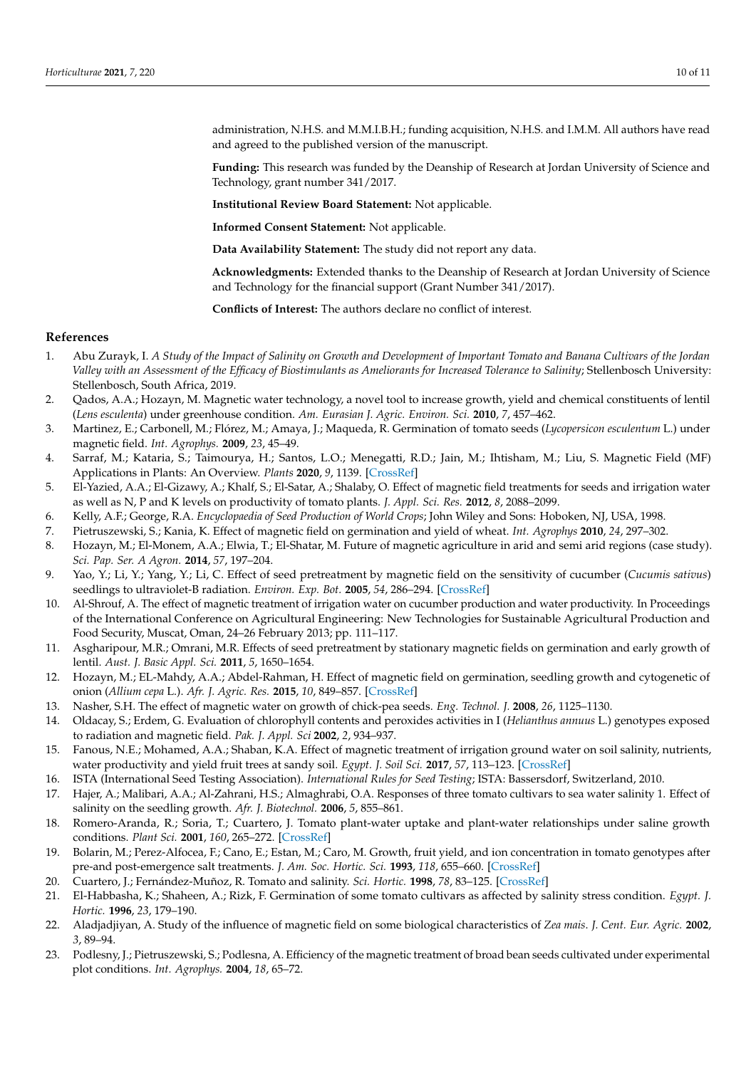administration, N.H.S. and M.M.I.B.H.; funding acquisition, N.H.S. and I.M.M. All authors have read and agreed to the published version of the manuscript.

**Funding:** This research was funded by the Deanship of Research at Jordan University of Science and Technology, grant number 341/2017.

**Institutional Review Board Statement:** Not applicable.

**Informed Consent Statement:** Not applicable.

**Data Availability Statement:** The study did not report any data.

**Acknowledgments:** Extended thanks to the Deanship of Research at Jordan University of Science and Technology for the financial support (Grant Number 341/2017).

**Conflicts of Interest:** The authors declare no conflict of interest.

#### **References**

- <span id="page-9-0"></span>1. Abu Zurayk, I. *A Study of the Impact of Salinity on Growth and Development of Important Tomato and Banana Cultivars of the Jordan Valley with an Assessment of the Efficacy of Biostimulants as Ameliorants for Increased Tolerance to Salinity*; Stellenbosch University: Stellenbosch, South Africa, 2019.
- <span id="page-9-1"></span>2. Qados, A.A.; Hozayn, M. Magnetic water technology, a novel tool to increase growth, yield and chemical constituents of lentil (*Lens esculenta*) under greenhouse condition. *Am. Eurasian J. Agric. Environ. Sci.* **2010**, *7*, 457–462.
- <span id="page-9-7"></span>3. Martinez, E.; Carbonell, M.; Flórez, M.; Amaya, J.; Maqueda, R. Germination of tomato seeds (*Lycopersicon esculentum* L.) under magnetic field. *Int. Agrophys.* **2009**, *23*, 45–49.
- <span id="page-9-2"></span>4. Sarraf, M.; Kataria, S.; Taimourya, H.; Santos, L.O.; Menegatti, R.D.; Jain, M.; Ihtisham, M.; Liu, S. Magnetic Field (MF) Applications in Plants: An Overview. *Plants* **2020**, *9*, 1139. [\[CrossRef\]](http://doi.org/10.3390/plants9091139)
- <span id="page-9-3"></span>5. El-Yazied, A.A.; El-Gizawy, A.; Khalf, S.; El-Satar, A.; Shalaby, O. Effect of magnetic field treatments for seeds and irrigation water as well as N, P and K levels on productivity of tomato plants. *J. Appl. Sci. Res.* **2012**, *8*, 2088–2099.
- <span id="page-9-4"></span>6. Kelly, A.F.; George, R.A. *Encyclopaedia of Seed Production of World Crops*; John Wiley and Sons: Hoboken, NJ, USA, 1998.
- <span id="page-9-5"></span>7. Pietruszewski, S.; Kania, K. Effect of magnetic field on germination and yield of wheat. *Int. Agrophys* **2010**, *24*, 297–302.
- <span id="page-9-6"></span>8. Hozayn, M.; El-Monem, A.A.; Elwia, T.; El-Shatar, M. Future of magnetic agriculture in arid and semi arid regions (case study). *Sci. Pap. Ser. A Agron.* **2014**, *57*, 197–204.
- <span id="page-9-8"></span>9. Yao, Y.; Li, Y.; Yang, Y.; Li, C. Effect of seed pretreatment by magnetic field on the sensitivity of cucumber (*Cucumis sativus*) seedlings to ultraviolet-B radiation. *Environ. Exp. Bot.* **2005**, *54*, 286–294. [\[CrossRef\]](http://doi.org/10.1016/j.envexpbot.2004.09.006)
- <span id="page-9-9"></span>10. Al-Shrouf, A. The effect of magnetic treatment of irrigation water on cucumber production and water productivity. In Proceedings of the International Conference on Agricultural Engineering: New Technologies for Sustainable Agricultural Production and Food Security, Muscat, Oman, 24–26 February 2013; pp. 111–117.
- <span id="page-9-10"></span>11. Asgharipour, M.R.; Omrani, M.R. Effects of seed pretreatment by stationary magnetic fields on germination and early growth of lentil. *Aust. J. Basic Appl. Sci.* **2011**, *5*, 1650–1654.
- <span id="page-9-11"></span>12. Hozayn, M.; EL-Mahdy, A.A.; Abdel-Rahman, H. Effect of magnetic field on germination, seedling growth and cytogenetic of onion (*Allium cepa* L.). *Afr. J. Agric. Res.* **2015**, *10*, 849–857. [\[CrossRef\]](http://doi.org/10.5897/AJAR2014.9383)
- <span id="page-9-12"></span>13. Nasher, S.H. The effect of magnetic water on growth of chick-pea seeds. *Eng. Technol. J.* **2008**, *26*, 1125–1130.
- <span id="page-9-13"></span>14. Oldacay, S.; Erdem, G. Evaluation of chlorophyll contents and peroxides activities in I (*Helianthus annuus* L.) genotypes exposed to radiation and magnetic field. *Pak. J. Appl. Sci* **2002**, *2*, 934–937.
- <span id="page-9-14"></span>15. Fanous, N.E.; Mohamed, A.A.; Shaban, K.A. Effect of magnetic treatment of irrigation ground water on soil salinity, nutrients, water productivity and yield fruit trees at sandy soil. *Egypt. J. Soil Sci.* **2017**, *57*, 113–123. [\[CrossRef\]](http://doi.org/10.21608/ejss.2017.1528)
- <span id="page-9-15"></span>16. ISTA (International Seed Testing Association). *International Rules for Seed Testing*; ISTA: Bassersdorf, Switzerland, 2010.
- <span id="page-9-16"></span>17. Hajer, A.; Malibari, A.A.; Al-Zahrani, H.S.; Almaghrabi, O.A. Responses of three tomato cultivars to sea water salinity 1. Effect of salinity on the seedling growth. *Afr. J. Biotechnol.* **2006**, *5*, 855–861.
- <span id="page-9-17"></span>18. Romero-Aranda, R.; Soria, T.; Cuartero, J. Tomato plant-water uptake and plant-water relationships under saline growth conditions. *Plant Sci.* **2001**, *160*, 265–272. [\[CrossRef\]](http://doi.org/10.1016/S0168-9452(00)00388-5)
- <span id="page-9-18"></span>19. Bolarin, M.; Perez-Alfocea, F.; Cano, E.; Estan, M.; Caro, M. Growth, fruit yield, and ion concentration in tomato genotypes after pre-and post-emergence salt treatments. *J. Am. Soc. Hortic. Sci.* **1993**, *118*, 655–660. [\[CrossRef\]](http://doi.org/10.21273/JASHS.118.5.655)
- <span id="page-9-19"></span>20. Cuartero, J.; Fernández-Muñoz, R. Tomato and salinity. *Sci. Hortic.* **1998**, *78*, 83–125. [\[CrossRef\]](http://doi.org/10.1016/S0304-4238(98)00191-5)
- <span id="page-9-20"></span>21. El-Habbasha, K.; Shaheen, A.; Rizk, F. Germination of some tomato cultivars as affected by salinity stress condition. *Egypt. J. Hortic.* **1996**, *23*, 179–190.
- <span id="page-9-21"></span>22. Aladjadjiyan, A. Study of the influence of magnetic field on some biological characteristics of *Zea mais*. *J. Cent. Eur. Agric.* **2002**, *3*, 89–94.
- <span id="page-9-22"></span>23. Podlesny, J.; Pietruszewski, S.; Podlesna, A. Efficiency of the magnetic treatment of broad bean seeds cultivated under experimental plot conditions. *Int. Agrophys.* **2004**, *18*, 65–72.